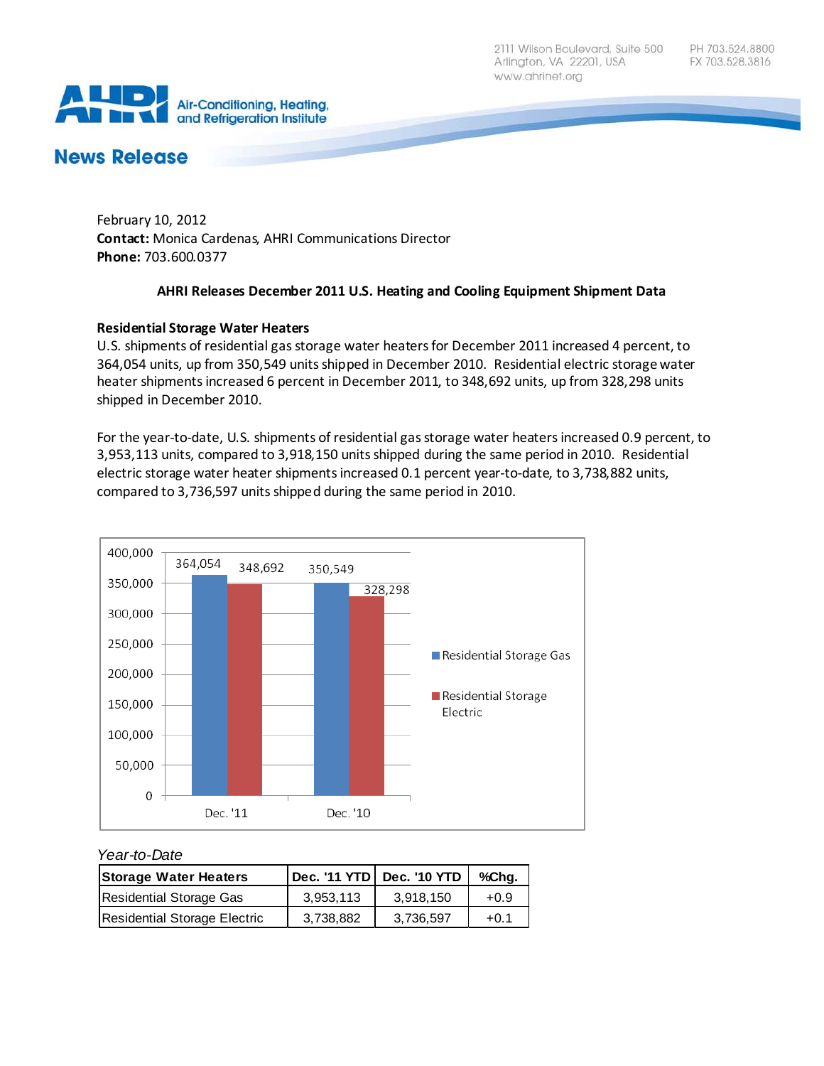2111 Wilson Boulevard, Suite 500 Arlington, VA 22201, USA www.ahrinet.org



# **News Release**

February 10, 2012 **Contact:** Monica Cardenas, AHRI Communications Director **Phone:** 703.600.0377

## **AHRI Releases December 2011 U.S. Heating and Cooling Equipment Shipment Data**

## **Residential Storage Water Heaters**

U.S. shipments of residential gas storage water heaters for December 2011 increased 4 percent, to 364,054 units, up from 350,549 units shipped in December 2010. Residential electric storage water heater shipments increased 6 percent in December 2011, to 348,692 units, up from 328,298 units shipped in December 2010.

For the year-to-date, U.S. shipments of residential gas storage water heaters increased 0.9 percent, to 3,953,113 units, compared to 3,918,150 units shipped during the same period in 2010. Residential electric storage water heater shipments increased 0.1 percent year-to-date, to 3,738,882 units, compared to 3,736,597 units shipped during the same period in 2010.



#### *Year-to-Date*

| <b>Storage Water Heaters</b> |           |           | %Cha.  |
|------------------------------|-----------|-----------|--------|
| Residential Storage Gas      | 3.953.113 | 3.918.150 | $+0.9$ |
| Residential Storage Electric | 3.738.882 | 3.736.597 | $+0.1$ |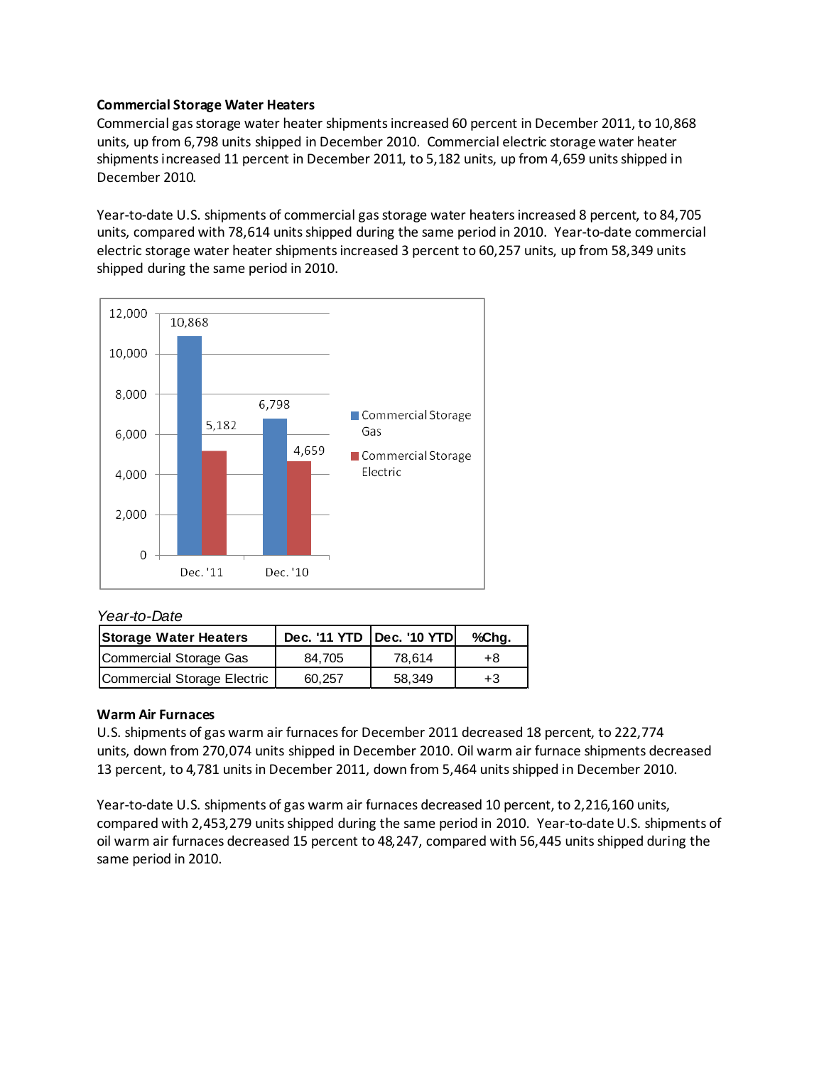#### **Commercial Storage Water Heaters**

Commercial gas storage water heater shipments increased 60 percent in December 2011, to 10,868 units, up from 6,798 units shipped in December 2010. Commercial electric storage water heater shipments increased 11 percent in December 2011, to 5,182 units, up from 4,659 units shipped in December 2010.

Year-to-date U.S. shipments of commercial gas storage water heaters increased 8 percent, to 84,705 units, compared with 78,614 units shipped during the same period in 2010. Year-to-date commercial electric storage water heater shipments increased 3 percent to 60,257 units, up from 58,349 units shipped during the same period in 2010.



# *Year-to-Date*

| <b>Storage Water Heaters</b> | Dec. '11 YTD   Dec. '10 YTD |        | %Chg. |
|------------------------------|-----------------------------|--------|-------|
| Commercial Storage Gas       | 84.705                      | 78.614 | +8    |
| Commercial Storage Electric  | 60.257                      | 58.349 | $+3$  |

#### **Warm Air Furnaces**

U.S. shipments of gas warm air furnaces for December 2011 decreased 18 percent, to 222,774 units, down from 270,074 units shipped in December 2010. Oil warm air furnace shipments decreased 13 percent, to 4,781 units in December 2011, down from 5,464 units shipped in December 2010.

Year-to-date U.S. shipments of gas warm air furnaces decreased 10 percent, to 2,216,160 units, compared with 2,453,279 units shipped during the same period in 2010. Year-to-date U.S. shipments of oil warm air furnaces decreased 15 percent to 48,247, compared with 56,445 units shipped during the same period in 2010.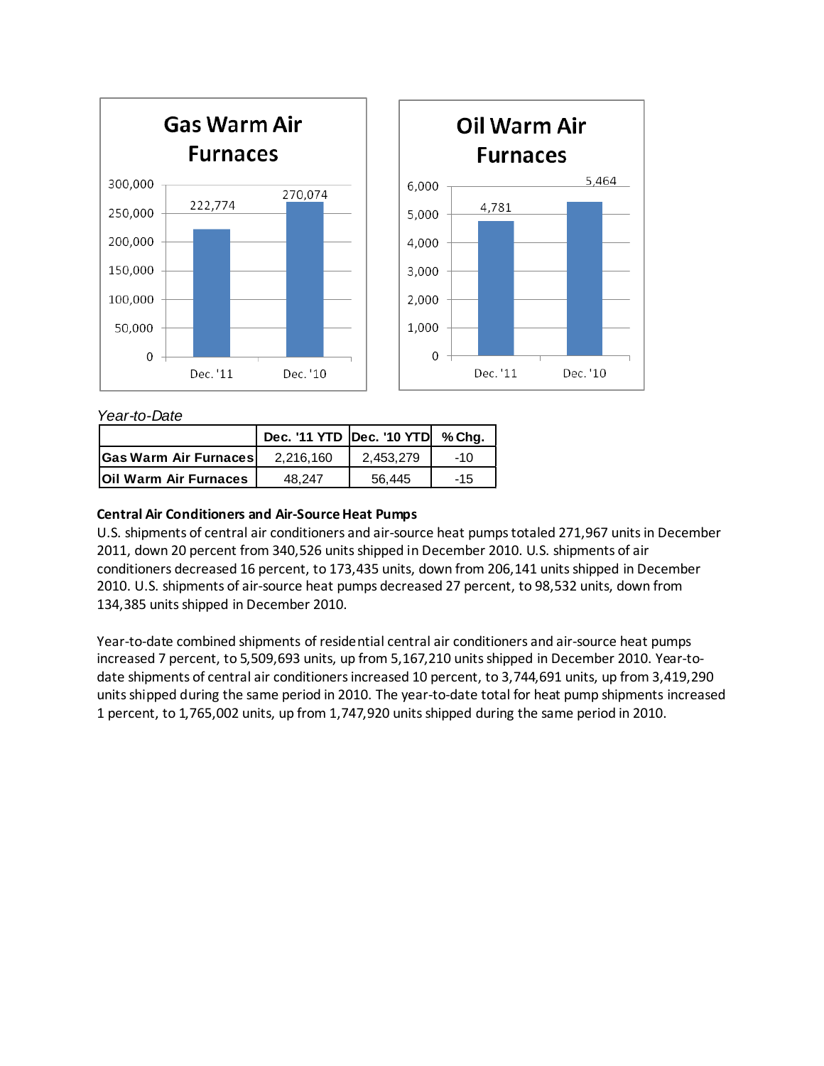

*Year-to-Date*

|                              | Dec. '11 YTD Dec. '10 YTD % Chg. |           |       |
|------------------------------|----------------------------------|-----------|-------|
| <b>Gas Warm Air Furnaces</b> | 2.216.160                        | 2.453.279 | $-10$ |
| <b>Oil Warm Air Furnaces</b> | 48.247                           | 56.445    | $-15$ |

## **Central Air Conditioners and Air-Source Heat Pumps**

U.S. shipments of central air conditioners and air-source heat pumps totaled 271,967 units in December 2011, down 20 percent from 340,526 units shipped in December 2010. U.S. shipments of air conditioners decreased 16 percent, to 173,435 units, down from 206,141 units shipped in December 2010. U.S. shipments of air-source heat pumps decreased 27 percent, to 98,532 units, down from 134,385 units shipped in December 2010.

Year-to-date combined shipments of residential central air conditioners and air-source heat pumps increased 7 percent, to 5,509,693 units, up from 5,167,210 units shipped in December 2010. Year-todate shipments of central air conditioners increased 10 percent, to 3,744,691 units, up from 3,419,290 units shipped during the same period in 2010. The year-to-date total for heat pump shipments increased 1 percent, to 1,765,002 units, up from 1,747,920 units shipped during the same period in 2010.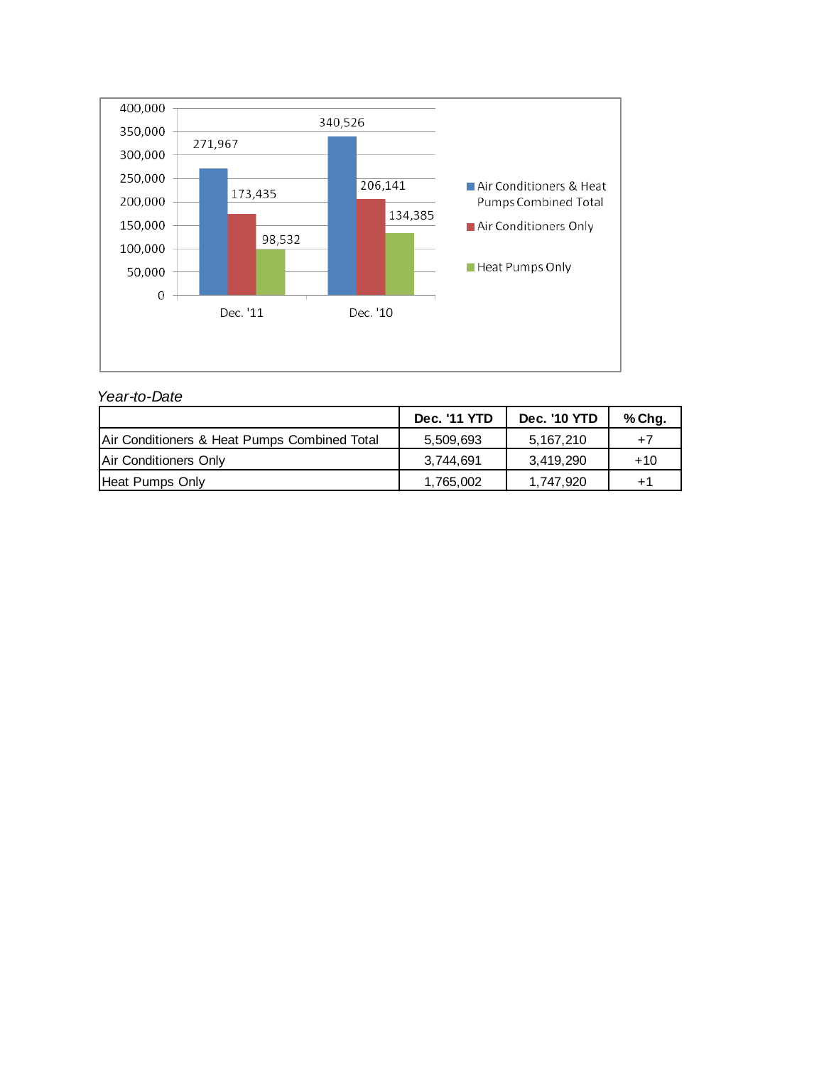

#### *Year-to-Date*

|                                              | Dec. '11 YTD | <b>Dec. '10 YTD</b> | % Chg. |
|----------------------------------------------|--------------|---------------------|--------|
| Air Conditioners & Heat Pumps Combined Total | 5,509,693    | 5,167,210           | $+7$   |
| Air Conditioners Only                        | 3.744.691    | 3.419.290           | $+10$  |
| Heat Pumps Only                              | 1,765,002    | 1.747.920           | $+1$   |